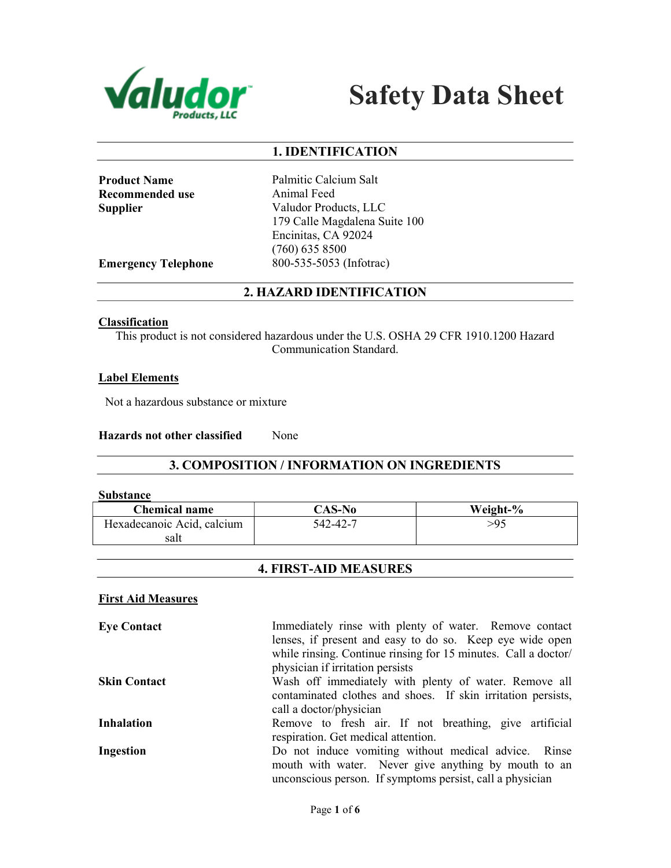



## 1. IDENTIFICATION

| <b>Product Name</b> |
|---------------------|
| Recommended use     |
| Supplier            |

Palmitic Calcium Salt Animal Feed Valudor Products, LLC 179 Calle Magdalena Suite 100 Encinitas, CA 92024 (760) 635 8500 Emergency Telephone 800-535-5053 (Infotrac)

## 2. HAZARD IDENTIFICATION

#### **Classification**

This product is not considered hazardous under the U.S. OSHA 29 CFR 1910.1200 Hazard Communication Standard.

#### Label Elements

Not a hazardous substance or mixture

Hazards not other classified None

## 3. COMPOSITION / INFORMATION ON INGREDIENTS

#### Substance

| <b>Chemical name</b>       | CAS-No   | Weight-% |
|----------------------------|----------|----------|
| Hexadecanoic Acid, calcium | 542-42-7 | >95      |
| salt                       |          |          |

## 4. FIRST-AID MEASURES

#### First Aid Measures

| <b>Eye Contact</b>  | Immediately rinse with plenty of water. Remove contact         |  |  |
|---------------------|----------------------------------------------------------------|--|--|
|                     | lenses, if present and easy to do so. Keep eye wide open       |  |  |
|                     | while rinsing. Continue rinsing for 15 minutes. Call a doctor/ |  |  |
|                     | physician if irritation persists                               |  |  |
| <b>Skin Contact</b> | Wash off immediately with plenty of water. Remove all          |  |  |
|                     | contaminated clothes and shoes. If skin irritation persists,   |  |  |
|                     | call a doctor/physician                                        |  |  |
| <b>Inhalation</b>   | Remove to fresh air. If not breathing, give artificial         |  |  |
|                     | respiration. Get medical attention.                            |  |  |
| Ingestion           | Do not induce vomiting without medical advice. Rinse           |  |  |
|                     | mouth with water. Never give anything by mouth to an           |  |  |
|                     | unconscious person. If symptoms persist, call a physician      |  |  |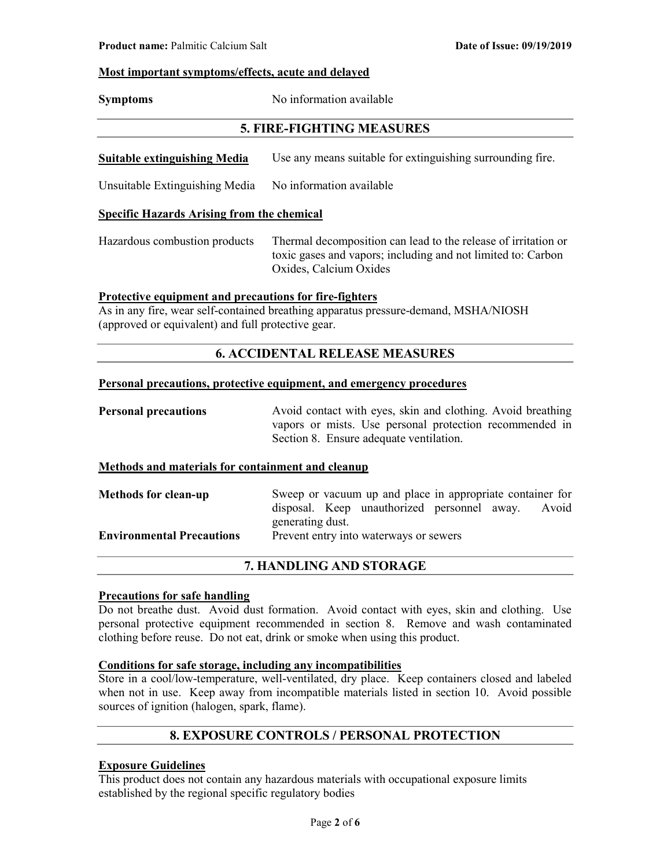#### Most important symptoms/effects, acute and delayed

| <b>Symptoms</b> | No information available |
|-----------------|--------------------------|
|                 |                          |

## 5. FIRE-FIGHTING MEASURES

Suitable extinguishing Media Use any means suitable for extinguishing surrounding fire.

Unsuitable Extinguishing Media No information available

#### Specific Hazards Arising from the chemical

Hazardous combustion products Thermal decomposition can lead to the release of irritation or toxic gases and vapors; including and not limited to: Carbon Oxides, Calcium Oxides

#### Protective equipment and precautions for fire-fighters

As in any fire, wear self-contained breathing apparatus pressure-demand, MSHA/NIOSH (approved or equivalent) and full protective gear.

## 6. ACCIDENTAL RELEASE MEASURES

#### Personal precautions, protective equipment, and emergency procedures

| <b>Personal precautions</b> | Avoid contact with eyes, skin and clothing. Avoid breathing |
|-----------------------------|-------------------------------------------------------------|
|                             | vapors or mists. Use personal protection recommended in     |
|                             | Section 8. Ensure adequate ventilation.                     |

#### Methods and materials for containment and cleanup

| <b>Methods for clean-up</b>      | Sweep or vacuum up and place in appropriate container for |  |                                                   |  |  |
|----------------------------------|-----------------------------------------------------------|--|---------------------------------------------------|--|--|
|                                  |                                                           |  | disposal. Keep unauthorized personnel away. Avoid |  |  |
|                                  | generating dust.                                          |  |                                                   |  |  |
| <b>Environmental Precautions</b> |                                                           |  | Prevent entry into waterways or sewers            |  |  |

## 7. HANDLING AND STORAGE

#### Precautions for safe handling

Do not breathe dust. Avoid dust formation. Avoid contact with eyes, skin and clothing. Use personal protective equipment recommended in section 8. Remove and wash contaminated clothing before reuse. Do not eat, drink or smoke when using this product.

### Conditions for safe storage, including any incompatibilities

Store in a cool/low-temperature, well-ventilated, dry place. Keep containers closed and labeled when not in use. Keep away from incompatible materials listed in section 10. Avoid possible sources of ignition (halogen, spark, flame).

## 8. EXPOSURE CONTROLS / PERSONAL PROTECTION

## Exposure Guidelines

This product does not contain any hazardous materials with occupational exposure limits established by the regional specific regulatory bodies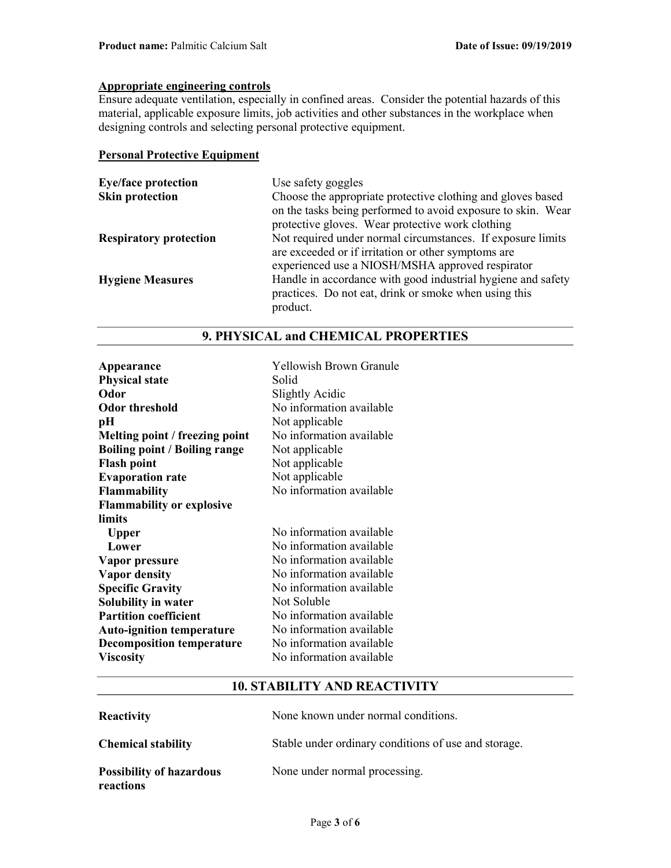# Appropriate engineering controls

Ensure adequate ventilation, especially in confined areas. Consider the potential hazards of this material, applicable exposure limits, job activities and other substances in the workplace when designing controls and selecting personal protective equipment.

#### Personal Protective Equipment

| <b>Eye/face protection</b>    | Use safety goggles                                           |
|-------------------------------|--------------------------------------------------------------|
| <b>Skin protection</b>        | Choose the appropriate protective clothing and gloves based  |
|                               | on the tasks being performed to avoid exposure to skin. Wear |
|                               | protective gloves. Wear protective work clothing             |
| <b>Respiratory protection</b> | Not required under normal circumstances. If exposure limits  |
|                               | are exceeded or if irritation or other symptoms are          |
|                               | experienced use a NIOSH/MSHA approved respirator             |
| <b>Hygiene Measures</b>       | Handle in accordance with good industrial hygiene and safety |
|                               | practices. Do not eat, drink or smoke when using this        |
|                               | product.                                                     |

| Appearance<br><b>Physical state</b><br>Odor<br><b>Odor threshold</b><br>pH<br>Melting point / freezing point<br><b>Boiling point / Boiling range</b><br><b>Flash point</b><br><b>Evaporation rate</b><br><b>Flammability</b><br><b>Flammability or explosive</b> | <b>Yellowish Brown Granule</b><br>Solid<br>Slightly Acidic<br>No information available<br>Not applicable<br>No information available<br>Not applicable<br>Not applicable<br>Not applicable<br>No information available                                                  |
|------------------------------------------------------------------------------------------------------------------------------------------------------------------------------------------------------------------------------------------------------------------|-------------------------------------------------------------------------------------------------------------------------------------------------------------------------------------------------------------------------------------------------------------------------|
| limits<br><b>Upper</b><br>Lower<br>Vapor pressure<br><b>Vapor density</b><br><b>Specific Gravity</b><br>Solubility in water<br><b>Partition coefficient</b><br><b>Auto-ignition temperature</b><br><b>Decomposition temperature</b><br><b>Viscosity</b>          | No information available<br>No information available<br>No information available<br>No information available<br>No information available<br>Not Soluble<br>No information available<br>No information available<br>No information available<br>No information available |

## 9. PHYSICAL and CHEMICAL PROPERTIES

## 10. STABILITY AND REACTIVITY

| <b>Reactivity</b>                            | None known under normal conditions.                  |
|----------------------------------------------|------------------------------------------------------|
| <b>Chemical stability</b>                    | Stable under ordinary conditions of use and storage. |
| <b>Possibility of hazardous</b><br>reactions | None under normal processing.                        |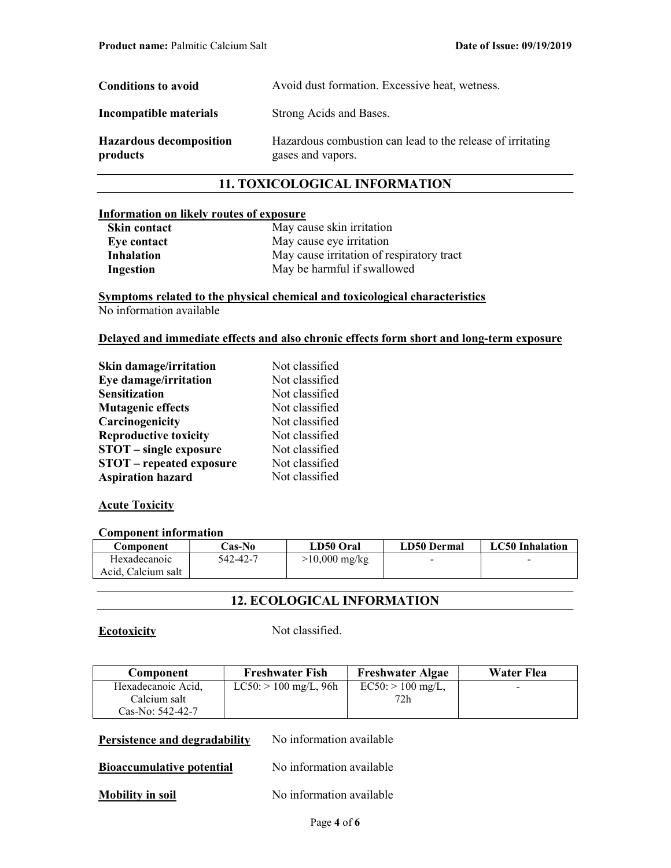| <b>Conditions to avoid</b>                 | Avoid dust formation. Excessive heat, wetness.                                  |  |
|--------------------------------------------|---------------------------------------------------------------------------------|--|
| Incompatible materials                     | Strong Acids and Bases.                                                         |  |
| <b>Hazardous decomposition</b><br>products | Hazardous combustion can lead to the release of irritating<br>gases and vapors. |  |

## 11. TOXICOLOGICAL INFORMATION

#### Information on likely routes of exposure

| <b>Skin contact</b> | May cause skin irritation                 |
|---------------------|-------------------------------------------|
| Eye contact         | May cause eye irritation                  |
| Inhalation          | May cause irritation of respiratory tract |
| Ingestion           | May be harmful if swallowed               |

Symptoms related to the physical chemical and toxicological characteristics No information available

#### Delayed and immediate effects and also chronic effects form short and long-term exposure

| Skin damage/irritation          | Not classified |
|---------------------------------|----------------|
| Eye damage/irritation           | Not classified |
| <b>Sensitization</b>            | Not classified |
| <b>Mutagenic effects</b>        | Not classified |
| Carcinogenicity                 | Not classified |
| <b>Reproductive toxicity</b>    | Not classified |
| <b>STOT</b> – single exposure   | Not classified |
| <b>STOT</b> – repeated exposure | Not classified |
| <b>Aspiration hazard</b>        | Not classified |

#### **Acute Toxicity**

#### Component information

| Component          | <b>Cas-No</b> | LD50 Oral               | LD50 Dermal | LC50 Inhalation |
|--------------------|---------------|-------------------------|-------------|-----------------|
| Hexadecanoic       | 542-42-7      | $>10,000 \text{ mg/kg}$ | $\sim$      | -               |
| Acid. Calcium salt |               |                         |             |                 |

## 12. ECOLOGICAL INFORMATION

#### Ecotoxicity Not classified.

| Component          | <b>Freshwater Fish</b>  | <b>Freshwater Algae</b> | Water Flea               |
|--------------------|-------------------------|-------------------------|--------------------------|
| Hexadecanoic Acid. | $LC50:$ > 100 mg/L, 96h | $EC50:$ > 100 mg/L,     | $\overline{\phantom{0}}$ |
| Calcium salt       |                         | 72h                     |                          |
| Cas-No: 542-42-7   |                         |                         |                          |

## Persistence and degradability No information available

## Bioaccumulative potential No information available

#### Mobility in soil No information available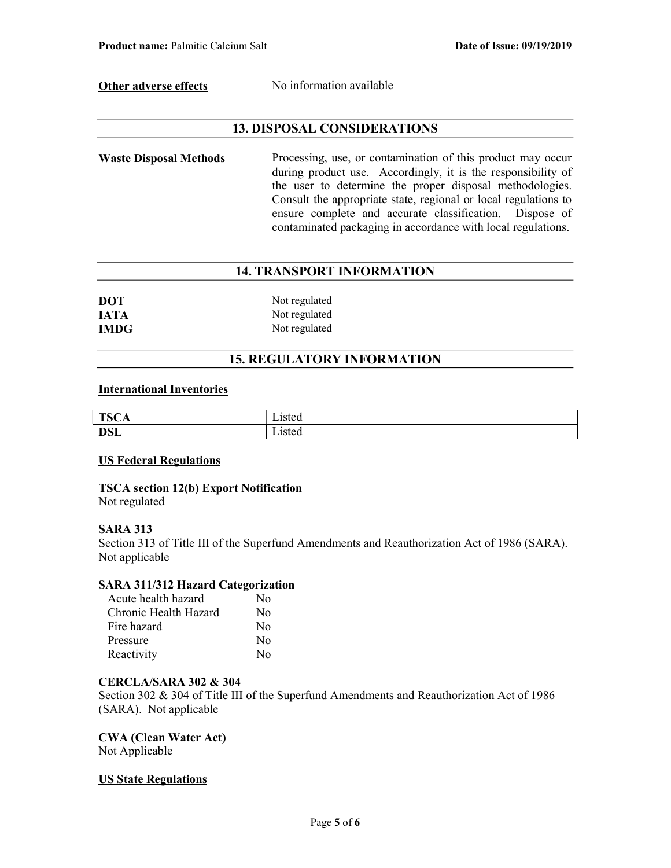Other adverse effects No information available

## 13. DISPOSAL CONSIDERATIONS

Waste Disposal Methods Processing, use, or contamination of this product may occur during product use. Accordingly, it is the responsibility of the user to determine the proper disposal methodologies. Consult the appropriate state, regional or local regulations to ensure complete and accurate classification. Dispose of contaminated packaging in accordance with local regulations.

## 14. TRANSPORT INFORMATION

| <b>DOT</b>  | Not regulated |
|-------------|---------------|
| <b>IATA</b> | Not regulated |
| <b>IMDG</b> | Not regulated |

## 15. REGULATORY INFORMATION

#### International Inventories

| <b>TSC</b><br>- 17<br>ᆂᄓ<br>◡▴ | www      |
|--------------------------------|----------|
| <b>DSL</b>                     | - 1900 - |

#### US Federal Regulations

TSCA section 12(b) Export Notification Not regulated

#### SARA 313

Section 313 of Title III of the Superfund Amendments and Reauthorization Act of 1986 (SARA). Not applicable

### SARA 311/312 Hazard Categorization

| Acute health hazard   | Nο           |
|-----------------------|--------------|
| Chronic Health Hazard | $\rm No$     |
| Fire hazard           | $\rm No$     |
| Pressure              | No           |
| Reactivity            | $N_{\Omega}$ |

#### CERCLA/SARA 302 & 304

Section 302 & 304 of Title III of the Superfund Amendments and Reauthorization Act of 1986 (SARA). Not applicable

# CWA (Clean Water Act)

Not Applicable

#### US State Regulations